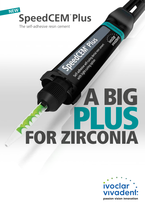## **NEW SpeedCEM**® **Plus**

The self-adhesive resin cement

## **PLUS**  A BIG FOR ZIRCONIA

Marian Library River Residents

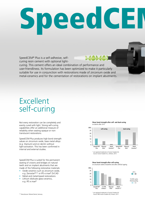# SpeedCE

SpeedCEM® Plus is a self-adhesive, selfcuring resin cement with optional light-

curing. This cement offers an ideal combination of performance and user-friendliness. Its formulation has been optimized to make it particularly suitable for use in conjunction with restorations made of zirconium oxide and metal-ceramics and for the cementation of restorations on implant abutments.

## Excellent self-curing

Not every restoration can be completely and evenly cured with light. Strong self-curing capabilities offer an additional measure of reliability when seating opaque or nontranslucent restorations.

SpeedCEM Plus produces high bond strength values on zirconium oxide, base metal alloys (e.g. titanium) and on dentin without light-activation. This has been confirmed in internal and external studies.

SpeedCEM Plus is suited for the permanent seating of crowns and bridges on natural teeth and on implant abutments that are made of the following restorative materials:

- Oxide ceramics such as zirconium oxide, e.g. Zenostar®\*\* or IPS e.max® ZirCAD
- Metal and metal-based restorations
- Lithium disilicate glass-ceramics, e.g. IPS e.max®

#### **Shear bond strength after self- and dual-curing** on dentin after 24 h



Source: Ivoclar Vivadent Inc., Amherst, 2015

**Shear bond strength after self-curing**

on zirconium oxide at baseline and after artificial ageing



\* not registered trademarks of Ivoclar Vivadent AG Source: R&D Ivoclar Vivadent AG, Schaan, 2015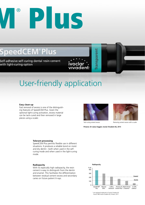## $\sum_{i=1}^{N}$ Plus

## Speed CEM® Plus

Self-adhesive self-curing dental resin cement with light-curing option

ivoclar<br>vivadent

## User-friendly application

#### **Easy clean-up**

Fast removal of excess is one of the distinguishing features of SpeedCEM Plus. Given the optional light-curing activation, excess material can be tack-cured and then removed in large pieces using a scaler.



ransparent



Tack-curing cement excess Tack-curing cement excess with a scaler

**Pictures: Dr Lukas Enggist, Ivoclar Vivadent AG, 2015**

#### **Tolerant processing**

SpeedCEM Plus permits flexible use in different situations. It produces a reliable bond on moist and dry dentin - both when used in the selfcuring mode and when used in the light-curing mode.

#### **Radiopacity**

With its especially high radiopacity, the resin cement is easy to distinguish from the dentin and enamel. This facilitates the differentiation between residual cement excess and secondary caries on future patient X-rays.



\* not registered trademarks of Ivoclar Vivadent AG Source: R&D Ivoclar Vivadent AG, Schaan, 2015